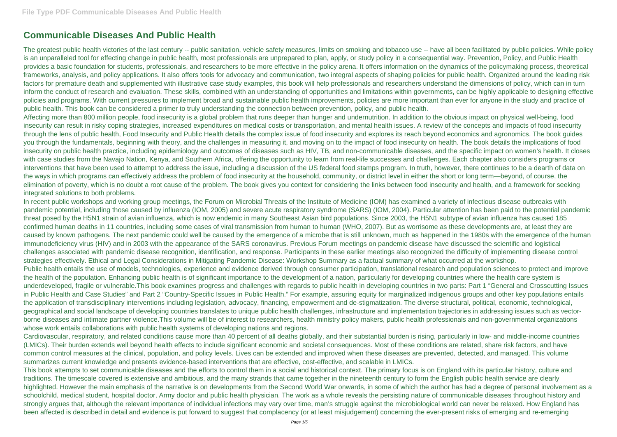# **Communicable Diseases And Public Health**

The greatest public health victories of the last century -- public sanitation, vehicle safety measures, limits on smoking and tobacco use -- have all been facilitated by public policies. While policy is an unparalleled tool for effecting change in public health, most professionals are unprepared to plan, apply, or study policy in a consequential way. Prevention, Policy, and Public Health provides a basic foundation for students, professionals, and researchers to be more effective in the policy arena. It offers information on the dynamics of the policymaking process, theoretical frameworks, analysis, and policy applications. It also offers tools for advocacy and communication, two integral aspects of shaping policies for public health. Organized around the leading risk factors for premature death and supplemented with illustrative case study examples, this book will help professionals and researchers understand the dimensions of policy, which can in turn inform the conduct of research and evaluation. These skills, combined with an understanding of opportunities and limitations within governments, can be highly applicable to designing effective policies and programs. With current pressures to implement broad and sustainable public health improvements, policies are more important than ever for anyone in the study and practice of public health. This book can be considered a primer to truly understanding the connection between prevention, policy, and public health.

Affecting more than 800 million people, food insecurity is a global problem that runs deeper than hunger and undernutrition. In addition to the obvious impact on physical well-being, food insecurity can result in risky coping strategies, increased expenditures on medical costs or transportation, and mental health issues. A review of the concepts and impacts of food insecurity through the lens of public health, Food Insecurity and Public Health details the complex issue of food insecurity and explores its reach beyond economics and agronomics. The book guides you through the fundamentals, beginning with theory, and the challenges in measuring it, and moving on to the impact of food insecurity on health. The book details the implications of food insecurity on public health practice, including epidemiology and outcomes of diseases such as HIV, TB, and non-communicable diseases, and the specific impact on women's health. It closes with case studies from the Navajo Nation, Kenya, and Southern Africa, offering the opportunity to learn from real-life successes and challenges. Each chapter also considers programs or interventions that have been used to attempt to address the issue, including a discussion of the US federal food stamps program. In truth, however, there continues to be a dearth of data on the ways in which programs can effectively address the problem of food insecurity at the household, community, or district level in either the short or long term—beyond, of course, the elimination of poverty, which is no doubt a root cause of the problem. The book gives you context for considering the links between food insecurity and health, and a framework for seeking integrated solutions to both problems.

In recent public workshops and working group meetings, the Forum on Microbial Threats of the Institute of Medicine (IOM) has examined a variety of infectious disease outbreaks with pandemic potential, including those caused by influenza (IOM, 2005) and severe acute respiratory syndrome (SARS) (IOM, 2004). Particular attention has been paid to the potential pandemic threat posed by the H5N1 strain of avian influenza, which is now endemic in many Southeast Asian bird populations. Since 2003, the H5N1 subtype of avian influenza has caused 185 confirmed human deaths in 11 countries, including some cases of viral transmission from human to human (WHO, 2007). But as worrisome as these developments are, at least they are caused by known pathogens. The next pandemic could well be caused by the emergence of a microbe that is still unknown, much as happened in the 1980s with the emergence of the human immunodeficiency virus (HIV) and in 2003 with the appearance of the SARS coronavirus. Previous Forum meetings on pandemic disease have discussed the scientific and logistical challenges associated with pandemic disease recognition, identification, and response. Participants in these earlier meetings also recognized the difficulty of implementing disease control strategies effectively. Ethical and Legal Considerations in Mitigating Pandemic Disease: Workshop Summary as a factual summary of what occurred at the workshop. Public health entails the use of models, technologies, experience and evidence derived through consumer participation, translational research and population sciences to protect and improve the health of the population. Enhancing public health is of significant importance to the development of a nation, particularly for developing countries where the health care system is underdeveloped, fragile or vulnerable.This book examines progress and challenges with regards to public health in developing countries in two parts: Part 1 "General and Crosscutting Issues in Public Health and Case Studies" and Part 2 "Country-Specific Issues in Public Health." For example, assuring equity for marginalized indigenous groups and other key populations entails the application of transdisciplinary interventions including legislation, advocacy, financing, empowerment and de-stigmatization. The diverse structural, political, economic, technological, geographical and social landscape of developing countries translates to unique public health challenges, infrastructure and implementation trajectories in addressing issues such as vectorborne diseases and intimate partner violence.This volume will be of interest to researchers, health ministry policy makers, public health professionals and non-governmental organizations whose work entails collaborations with public health systems of developing nations and regions.

Cardiovascular, respiratory, and related conditions cause more than 40 percent of all deaths globally, and their substantial burden is rising, particularly in low- and middle-income countries (LMICs). Their burden extends well beyond health effects to include significant economic and societal consequences. Most of these conditions are related, share risk factors, and have common control measures at the clinical, population, and policy levels. Lives can be extended and improved when these diseases are prevented, detected, and managed. This volume summarizes current knowledge and presents evidence-based interventions that are effective, cost-effective, and scalable in LMICs.

This book attempts to set communicable diseases and the efforts to control them in a social and historical context. The primary focus is on England with its particular history, culture and traditions. The timescale covered is extensive and ambitious, and the many strands that came together in the nineteenth century to form the English public health service are clearly highlighted. However the main emphasis of the narrative is on developments from the Second World War onwards, in some of which the author has had a degree of personal involvement as a schoolchild, medical student, hospital doctor, Army doctor and public health physician. The work as a whole reveals the persisting nature of communicable diseases throughout history and strongly argues that, although the relevant importance of individual infections may vary over time, man's struggle against the microbiological world can never be relaxed. How England has been affected is described in detail and evidence is put forward to suggest that complacency (or at least misjudgement) concerning the ever-present risks of emerging and re-emerging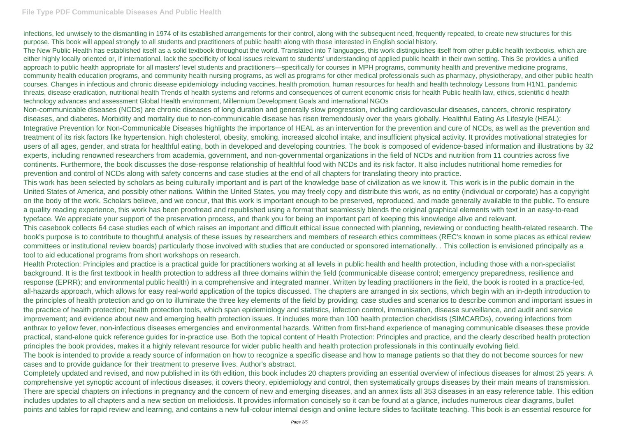## **File Type PDF Communicable Diseases And Public Health**

infections, led unwisely to the dismantling in 1974 of its established arrangements for their control, along with the subsequent need, frequently repeated, to create new structures for this purpose. This book will appeal strongly to all students and practitioners of public health along with those interested in English social history.

The New Public Health has established itself as a solid textbook throughout the world. Translated into 7 languages, this work distinguishes itself from other public health textbooks, which are either highly locally oriented or, if international, lack the specificity of local issues relevant to students' understanding of applied public health in their own setting. This 3e provides a unified approach to public health appropriate for all masters' level students and practitioners—specifically for courses in MPH programs, community health and preventive medicine programs, community health education programs, and community health nursing programs, as well as programs for other medical professionals such as pharmacy, physiotherapy, and other public health courses. Changes in infectious and chronic disease epidemiology including vaccines, health promotion, human resources for health and health technology Lessons from H1N1, pandemic threats, disease eradication, nutritional health Trends of health systems and reforms and consequences of current economic crisis for health Public health law, ethics, scientific d health technology advances and assessment Global Health environment, Millennium Development Goals and international NGOs

Non-communicable diseases (NCDs) are chronic diseases of long duration and generally slow progression, including cardiovascular diseases, cancers, chronic respiratory diseases, and diabetes. Morbidity and mortality due to non-communicable disease has risen tremendously over the years globally. Healthful Eating As Lifestyle (HEAL): Integrative Prevention for Non-Communicable Diseases highlights the importance of HEAL as an intervention for the prevention and cure of NCDs, as well as the prevention and treatment of its risk factors like hypertension, high cholesterol, obesity, smoking, increased alcohol intake, and insufficient physical activity. It provides motivational strategies for users of all ages, gender, and strata for healthful eating, both in developed and developing countries. The book is composed of evidence-based information and illustrations by 32 experts, including renowned researchers from academia, government, and non-governmental organizations in the field of NCDs and nutrition from 11 countries across five continents. Furthermore, the book discusses the dose-response relationship of healthful food with NCDs and its risk factor. It also includes nutritional home remedies for prevention and control of NCDs along with safety concerns and case studies at the end of all chapters for translating theory into practice. This work has been selected by scholars as being culturally important and is part of the knowledge base of civilization as we know it. This work is in the public domain in the United States of America, and possibly other nations. Within the United States, you may freely copy and distribute this work, as no entity (individual or corporate) has a copyright on the body of the work. Scholars believe, and we concur, that this work is important enough to be preserved, reproduced, and made generally available to the public. To ensure a quality reading experience, this work has been proofread and republished using a format that seamlessly blends the original graphical elements with text in an easy-to-read typeface. We appreciate your support of the preservation process, and thank you for being an important part of keeping this knowledge alive and relevant.

This casebook collects 64 case studies each of which raises an important and difficult ethical issue connected with planning, reviewing or conducting health-related research. The book's purpose is to contribute to thoughtful analysis of these issues by researchers and members of research ethics committees (REC's known in some places as ethical review committees or institutional review boards) particularly those involved with studies that are conducted or sponsored internationally. . This collection is envisioned principally as a tool to aid educational programs from short workshops on research.

Health Protection: Principles and practice is a practical guide for practitioners working at all levels in public health and health protection, including those with a non-specialist background. It is the first textbook in health protection to address all three domains within the field (communicable disease control; emergency preparedness, resilience and response (EPRR); and environmental public health) in a comprehensive and integrated manner. Written by leading practitioners in the field, the book is rooted in a practice-led, all-hazards approach, which allows for easy real-world application of the topics discussed. The chapters are arranged in six sections, which begin with an in-depth introduction to the principles of health protection and go on to illuminate the three key elements of the field by providing: case studies and scenarios to describe common and important issues in the practice of health protection; health protection tools, which span epidemiology and statistics, infection control, immunisation, disease surveillance, and audit and service improvement; and evidence about new and emerging health protection issues. It includes more than 100 health protection checklists (SIMCARDs), covering infections from anthrax to yellow fever, non-infectious diseases emergencies and environmental hazards. Written from first-hand experience of managing communicable diseases these provide practical, stand-alone quick reference guides for in-practice use. Both the topical content of Health Protection: Principles and practice, and the clearly described health protection principles the book provides, makes it a highly relevant resource for wider public health and health protection professionals in this continually evolving field. The book is intended to provide a ready source of information on how to recognize a specific disease and how to manage patients so that they do not become sources for new cases and to provide guidance for their treatment to preserve lives. Author's abstract.

Completely updated and revised, and now published in its 6th edition, this book includes 20 chapters providing an essential overview of infectious diseases for almost 25 years. A comprehensive yet synoptic account of infectious diseases, it covers theory, epidemiology and control, then systematically groups diseases by their main means of transmission. There are special chapters on infections in pregnancy and the concern of new and emerging diseases, and an annex lists all 353 diseases in an easy reference table. This edition includes updates to all chapters and a new section on melioidosis. It provides information concisely so it can be found at a glance, includes numerous clear diagrams, bullet points and tables for rapid review and learning, and contains a new full-colour internal design and online lecture slides to facilitate teaching. This book is an essential resource for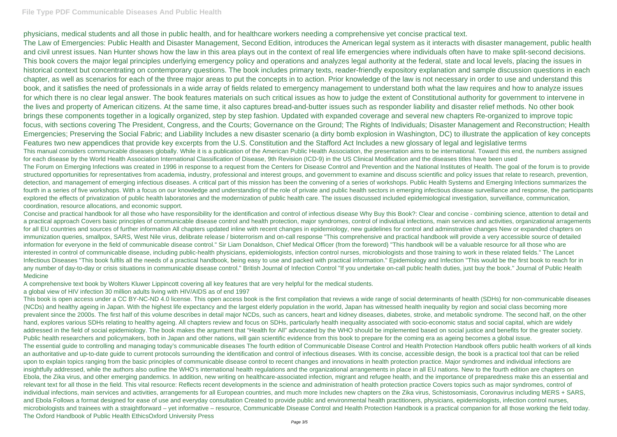### **File Type PDF Communicable Diseases And Public Health**

physicians, medical students and all those in public health, and for healthcare workers needing a comprehensive yet concise practical text. The Law of Emergencies: Public Health and Disaster Management, Second Edition, introduces the American legal system as it interacts with disaster management, public health and civil unrest issues. Nan Hunter shows how the law in this area plays out in the context of real life emergencies where individuals often have to make split-second decisions. This book covers the major legal principles underlying emergency policy and operations and analyzes legal authority at the federal, state and local levels, placing the issues in historical context but concentrating on contemporary questions. The book includes primary texts, reader-friendly expository explanation and sample discussion questions in each chapter, as well as scenarios for each of the three major areas to put the concepts in to action. Prior knowledge of the law is not necessary in order to use and understand this book, and it satisfies the need of professionals in a wide array of fields related to emergency management to understand both what the law requires and how to analyze issues for which there is no clear legal answer. The book features materials on such critical issues as how to judge the extent of Constitutional authority for government to intervene in the lives and property of American citizens. At the same time, it also captures bread-and-butter issues such as responder liability and disaster relief methods. No other book brings these components together in a logically organized, step by step fashion. Updated with expanded coverage and several new chapters Re-organized to improve topic focus, with sections covering The President, Congress, and the Courts; Governance on the Ground; The Rights of Individuals; Disaster Management and Reconstruction; Health Emergencies; Preserving the Social Fabric; and Liability Includes a new disaster scenario (a dirty bomb explosion in Washington, DC) to illustrate the application of key concepts Features two new appendices that provide key excerpts from the U.S. Constitution and the Stafford Act Includes a new glossary of legal and legislative terms This manual considers communicable diseases globally. While it is a publication of the American Public Health Association, the presentation aims to be international. Toward this end, the numbers assigned for each disease by the World Health Association International Classification of Disease, 9th Revision (ICD-9) in the US Clinical Modification and the diseases titles have been used The Forum on Emerging Infections was created in 1996 in response to a request from the Centers for Disease Control and Prevention and the National Institutes of Health. The goal of the forum is to provide structured opportunities for representatives from academia, industry, professional and interest groups, and government to examine and discuss scientific and policy issues that relate to research, prevention, detection, and management of emerging infectious diseases. A critical part of this mission has been the convening of a series of workshops. Public Health Systems and Emerging Infections summarizes the fourth in a series of five workshops. With a focus on our knowledge and understanding of the role of private and public health sectors in emerging infectious disease surveillance and response, the participants explored the effects of privatization of public health laboratories and the modernization of public health care. The issues discussed included epidemiological investigation, surveillance, communication, coordination, resource allocations, and economic support.

Concise and practical handbook for all those who have responsibility for the identification and control of infectious disease Why Buy this Book?: Clear and concise - combining science, attention to detail and a practical approach Covers basic principles of communicable disease control and health protection, major syndromes, control of individual infections, main services and activities, organizational arragements for all EU countries and sources of further information All chapters updated inline with recent changes in epidemiology, new guidelines for control and adminstrative changes New or expanded chapters on immunization queries, smallpox, SARS, West Nile virus, delibrate release / bioterrorism and on-call response "This comprehensive and practical handbook will provide a very accessible source of detailed information for everyone in the field of communicable disease control." Sir Liam Donaldson, Chief Medical Officer (from the foreword) "This handbook will be a valuable resource for all those who are interested in control of communicable disease, including public-health physicians, epidemiologists, infection control nurses, microbiologists and those training to work in these related fields." The Lancet Infectious Diseases "This book fulfils all the needs of a practical handbook, being easy to use and packed with practical information." Epidemiology and Infection "This would be the first book to reach for in any number of day-to-day or crisis situations in communicable disease control." British Journal of Infection Control "If you undertake on-call public health duties, just buy the book." Journal of Public Health Medicine

A comprehensive text book by Wolters Kluwer Lippincott covering all key features that are very helpful for the medical students.

a global view of HIV infection 30 million adults living with HIV/AIDS as of end 1997

This book is open access under a CC BY-NC-ND 4.0 license. This open access book is the first compilation that reviews a wide range of social determinants of health (SDHs) for non-communicable diseases (NCDs) and healthy ageing in Japan. With the highest life expectancy and the largest elderly population in the world, Japan has witnessed health inequality by region and social class becoming more prevalent since the 2000s. The first half of this volume describes in detail major NCDs, such as cancers, heart and kidney diseases, diabetes, stroke, and metabolic syndrome. The second half, on the other hand, explores various SDHs relating to healthy ageing. All chapters review and focus on SDHs, particularly health inequality associated with socio-economic status and social capital, which are widely addressed in the field of social epidemiology. The book makes the argument that "Health for All" advocated by the WHO should be implemented based on social justice and benefits for the greater society. Public health researchers and policymakers, both in Japan and other nations, will gain scientific evidence from this book to prepare for the coming era as ageing becomes a global issue. The essential guide to controlling and managing today's communicable diseases The fourth edition of Communicable Disease Control and Health Protection Handbook offers public health workers of all kinds an authoritative and up-to-date guide to current protocols surrounding the identification and control of infectious diseases. With its concise, accessible design, the book is a practical tool that can be relied upon to explain topics ranging from the basic principles of communicable disease control to recent changes and innovations in health protection practice. Major syndromes and individual infections are insightfully addressed, while the authors also outline the WHO's international health regulations and the organizational arrangements in place in all EU nations. New to the fourth edition are chapters on Ebola, the Zika virus, and other emerging pandemics. In addition, new writing on healthcare-associated infection, migrant and refugee health, and the importance of preparedness make this an essential and relevant text for all those in the field. This vital resource: Reflects recent developments in the science and administration of health protection practice Covers topics such as major syndromes, control of individual infections, main services and activities, arrangements for all European countries, and much more Includes new chapters on the Zika virus, Schistosomiasis, Coronavirus including MERS + SARS, and Ebola Follows a format designed for ease of use and everyday consultation Created to provide public and environmental health practitioners, physicians, epidemiologists, infection control nurses, microbiologists and trainees with a straightforward – yet informative – resource, Communicable Disease Control and Health Protection Handbook is a practical companion for all those working the field today. The Oxford Handbook of Public Health EthicsOxford University Press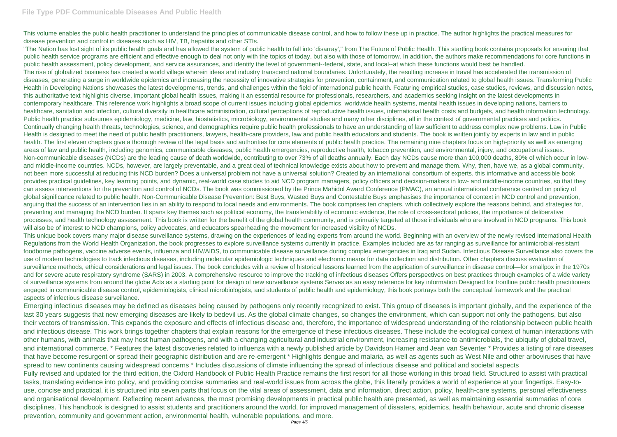### **File Type PDF Communicable Diseases And Public Health**

This volume enables the public health practitioner to understand the principles of communicable disease control, and how to follow these up in practice. The author highlights the practical measures for disease prevention and control in diseases such as HIV, TB, hepatitis and other STIs.

"The Nation has lost sight of its public health goals and has allowed the system of public health to fall into 'disarray'," from The Future of Public Health. This startling book contains proposals for ensuring that public health service programs are efficient and effective enough to deal not only with the topics of today, but also with those of tomorrow. In addition, the authors make recommendations for core functions in public health assessment, policy development, and service assurances, and identify the level of government-federal, state, and local--at which these functions would best be handled. The rise of globalized business has created a world village wherein ideas and industry transcend national boundaries. Unfortunately, the resulting increase in travel has accelerated the transmission of diseases, generating a surge in worldwide epidemics and increasing the necessity of innovative strategies for prevention, containment, and communication related to global health issues. Transforming Public Health in Developing Nations showcases the latest developments, trends, and challenges within the field of international public health. Featuring empirical studies, case studies, reviews, and discussion notes, this authoritative text highlights diverse, important global health issues, making it an essential resource for professionals, researchers, and academics seeking insight on the latest developments in contemporary healthcare. This reference work highlights a broad scope of current issues including global epidemics, worldwide health systems, mental health issues in developing nations, barriers to healthcare, sanitation and infection, cultural diversity in healthcare administration, cultural perceptions of reproductive health issues, international health costs and budgets, and health information technology. Public health practice subsumes epidemiology, medicine, law, biostatistics, microbiology, environmental studies and many other disciplines, all in the context of governmental practices and politics. Continually changing health threats, technologies, science, and demographics require public health professionals to have an understanding of law sufficient to address complex new problems. Law in Public Health is designed to meet the need of public health practitioners, lawyers, health-care providers, law and public health educators and students. The book is written jointly by experts in law and in public health. The first eleven chapters give a thorough review of the legal basis and authorities for core elements of public health practice. The remaining nine chapters focus on high-priority as well as emerging areas of law and public health, including genomics, communicable diseases, public health emergencies, reproductive health, tobacco prevention, and environmental, injury, and occupational issues. Non-communicable diseases (NCDs) are the leading cause of death worldwide, contributing to over 73% of all deaths annually. Each day NCDs cause more than 100,000 deaths, 80% of which occur in lowand middle-income countries. NCDs, however, are largely preventable, and a great deal of technical knowledge exists about how to prevent and manage them. Why, then, have we, as a global community, not been more successful at reducing this NCD burden? Does a universal problem not have a universal solution? Created by an international consortium of experts, this informative and accessible book provides practical guidelines, key learning points, and dynamic, real-world case studies to aid NCD program managers, policy officers and decision-makers in low- and middle-income countries, so that they can assess interventions for the prevention and control of NCDs. The book was commissioned by the Prince Mahidol Award Conference (PMAC), an annual international conference centred on policy of global significance related to public health. Non-Communicable Disease Prevention: Best Buys, Wasted Buys and Contestable Buys emphasises the importance of context in NCD control and prevention, arguing that the success of an intervention lies in an ability to respond to local needs and environments. The book comprises ten chapters, which collectively explore the reasons behind, and strategies for, preventing and managing the NCD burden. It spans key themes such as political economy, the transferability of economic evidence, the role of cross-sectoral policies, the importance of deliberative processes, and health technology assessment. This book is written for the benefit of the global health community, and is primarily targeted at those individuals who are involved in NCD programs. This book will also be of interest to NCD champions, policy advocates, and educators spearheading the movement for increased visiblity of NCDs.

This unique book covers many major disease surveillance systems, drawing on the experiences of leading experts from around the world. Beginning with an overview of the newly revised International Health Regulations from the World Health Organization, the book progresses to explore surveillance systems currently in practice. Examples included are as far ranging as surveillance for antimicrobial-resistant foodborne pathogens, vaccine adverse events, influenza and HIV/AIDS, to communicable disease surveillance during complex emergencies in Iraq and Sudan. Infectious Disease Surveillance also covers the use of modern technologies to track infectious diseases, including molecular epidemiologic techniques and electronic means for data collection and distribution. Other chapters discuss evaluation of surveillance methods, ethical considerations and legal issues. The book concludes with a review of historical lessons learned from the application of surveillance in disease control—for smallpox in the 1970s and for severe acute respiratory syndrome (SARS) in 2003. A comprehensive resource to improve the tracking of infectious diseases Offers perspectives on best practices through examples of a wide variety of surveillance systems from around the globe Acts as a starting point for design of new surveillance systems Serves as an easy reference for key information Designed for frontline public health practitioners engaged in communicable disease control, epidemiologists, clinical microbiologists, and students of public health and epidemiology, this book portrays both the conceptual framework and the practical aspects of infectious disease surveillance.

Emerging infectious diseases may be defined as diseases being caused by pathogens only recently recognized to exist. This group of diseases is important globally, and the experience of the last 30 years suggests that new emerging diseases are likely to bedevil us. As the global climate changes, so changes the environment, which can support not only the pathogens, but also their vectors of transmission. This expands the exposure and effects of infectious disease and, therefore, the importance of widespread understanding of the relationship between public health and infectious disease. This work brings together chapters that explain reasons for the emergence of these infectious diseases. These include the ecological context of human interactions with other humans, with animals that may host human pathogens, and with a changing agricultural and industrial environment, increasing resistance to antimicrobials, the ubiquity of global travel, and international commerce. \* Features the latest discoveries related to influenza with a newly published article by Davidson Hamer and Jean van Seventer \* Provides a listing of rare diseases that have become resurgent or spread their geographic distribution and are re-emergent \* Highlights dengue and malaria, as well as agents such as West Nile and other arboviruses that have spread to new continents causing widespread concerns \* Includes discussions of climate influencing the spread of infectious disease and political and societal aspects Fully revised and updated for the third edition, the Oxford Handbook of Public Health Practice remains the first resort for all those working in this broad field. Structured to assist with practical tasks, translating evidence into policy, and providing concise summaries and real-world issues from across the globe, this literally provides a world of experience at your fingertips. Easy-touse, concise and practical, it is structured into seven parts that focus on the vital areas of assessment, data and information, direct action, policy, health-care systems, personal effectiveness and organisational development. Reflecting recent advances, the most promising developments in practical public health are presented, as well as maintaining essential summaries of core disciplines. This handbook is designed to assist students and practitioners around the world, for improved management of disasters, epidemics, health behaviour, acute and chronic disease prevention, community and government action, environmental health, vulnerable populations, and more.